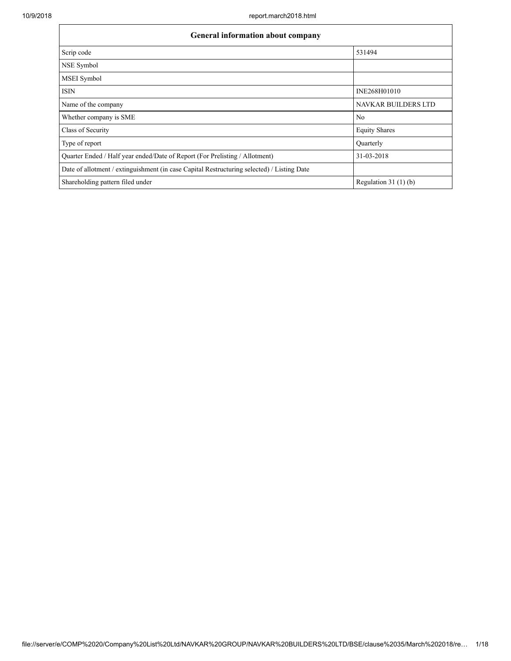| <b>General information about company</b>                                                   |                            |  |  |  |  |
|--------------------------------------------------------------------------------------------|----------------------------|--|--|--|--|
| Scrip code                                                                                 | 531494                     |  |  |  |  |
| <b>NSE Symbol</b>                                                                          |                            |  |  |  |  |
| <b>MSEI</b> Symbol                                                                         |                            |  |  |  |  |
| <b>ISIN</b>                                                                                | INE268H01010               |  |  |  |  |
| Name of the company                                                                        | <b>NAVKAR BUILDERS LTD</b> |  |  |  |  |
| Whether company is SME                                                                     | N <sub>0</sub>             |  |  |  |  |
| Class of Security                                                                          | <b>Equity Shares</b>       |  |  |  |  |
| Type of report                                                                             | Quarterly                  |  |  |  |  |
| Quarter Ended / Half year ended/Date of Report (For Prelisting / Allotment)                | 31-03-2018                 |  |  |  |  |
| Date of allotment / extinguishment (in case Capital Restructuring selected) / Listing Date |                            |  |  |  |  |
| Shareholding pattern filed under                                                           | Regulation $31(1)(b)$      |  |  |  |  |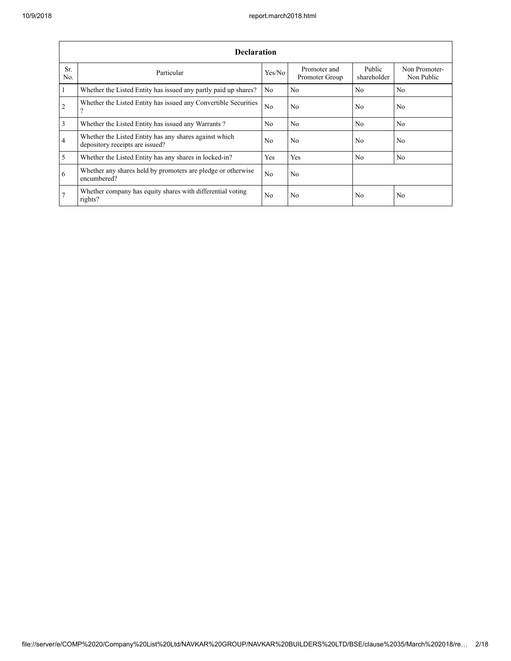|                       | <b>Declaration</b>                                                                        |                |                                |                       |                             |  |  |  |  |  |  |
|-----------------------|-------------------------------------------------------------------------------------------|----------------|--------------------------------|-----------------------|-----------------------------|--|--|--|--|--|--|
| Sr.<br>N <sub>0</sub> | Particular                                                                                | Yes/No         | Promoter and<br>Promoter Group | Public<br>shareholder | Non Promoter-<br>Non Public |  |  |  |  |  |  |
|                       | Whether the Listed Entity has issued any partly paid up shares?                           | N <sub>0</sub> | No.                            | N <sub>0</sub>        | N <sub>0</sub>              |  |  |  |  |  |  |
| $\overline{2}$        | Whether the Listed Entity has issued any Convertible Securities<br>$\Omega$               | N <sub>0</sub> | No.                            | N <sub>0</sub>        | N <sub>0</sub>              |  |  |  |  |  |  |
| 3                     | Whether the Listed Entity has issued any Warrants?                                        | N <sub>0</sub> | No.                            | N <sub>0</sub>        | N <sub>0</sub>              |  |  |  |  |  |  |
| 4                     | Whether the Listed Entity has any shares against which<br>depository receipts are issued? | N <sub>0</sub> | No.                            | N <sub>0</sub>        | N <sub>0</sub>              |  |  |  |  |  |  |
| 5                     | Whether the Listed Entity has any shares in locked-in?                                    | Yes            | Yes                            | N <sub>0</sub>        | N <sub>0</sub>              |  |  |  |  |  |  |
| 6                     | Whether any shares held by promoters are pledge or otherwise<br>encumbered?               | N <sub>0</sub> | No.                            |                       |                             |  |  |  |  |  |  |
|                       | Whether company has equity shares with differential voting<br>rights?                     | N <sub>0</sub> | No.                            | N <sub>0</sub>        | No                          |  |  |  |  |  |  |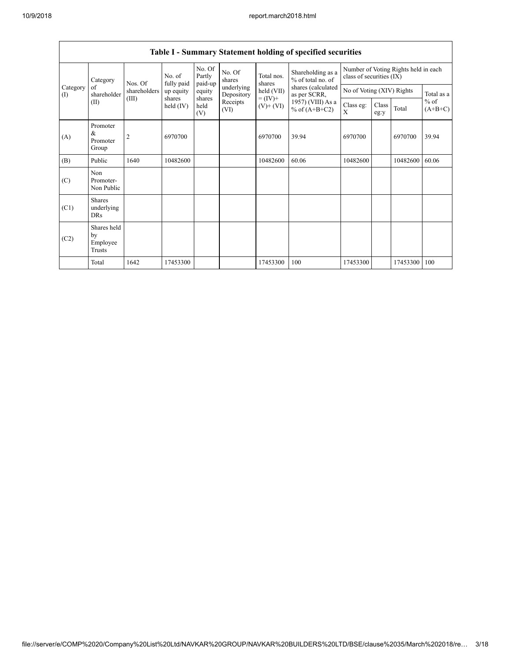|                 | Table I - Summary Statement holding of specified securities |                         |                         |                       |                          |                              |                                                                            |                                        |                                                                  |          |                     |  |  |
|-----------------|-------------------------------------------------------------|-------------------------|-------------------------|-----------------------|--------------------------|------------------------------|----------------------------------------------------------------------------|----------------------------------------|------------------------------------------------------------------|----------|---------------------|--|--|
|                 |                                                             | No. of<br>Category      |                         |                       | No. Of<br>Partly         | No. Of<br>shares             | Total nos.                                                                 | Shareholding as a<br>% of total no. of | Number of Voting Rights held in each<br>class of securities (IX) |          |                     |  |  |
| Category<br>(1) | of<br>shareholder                                           | Nos. Of<br>shareholders | fully paid<br>up equity | paid-up<br>equity     | underlying<br>Depository | shares<br>held (VII)         | shares (calculated<br>as per SCRR,<br>1957) (VIII) As a<br>% of $(A+B+C2)$ | No of Voting (XIV) Rights              |                                                                  |          | Total as a          |  |  |
|                 | (II)                                                        | (III)                   | shares<br>held $(IV)$   | shares<br>held<br>(V) | Receipts<br>(VI)         | $= (IV) +$<br>$(V)$ + $(VI)$ |                                                                            | Class eg:<br>X                         | Class<br>eg:y                                                    | Total    | $%$ of<br>$(A+B+C)$ |  |  |
| (A)             | Promoter<br>$\&$<br>Promoter<br>Group                       | $\overline{2}$          | 6970700                 |                       |                          | 6970700                      | 39.94                                                                      | 6970700                                |                                                                  | 6970700  | 39.94               |  |  |
| (B)             | Public                                                      | 1640                    | 10482600                |                       |                          | 10482600                     | 60.06                                                                      | 10482600                               |                                                                  | 10482600 | 60.06               |  |  |
| (C)             | Non<br>Promoter-<br>Non Public                              |                         |                         |                       |                          |                              |                                                                            |                                        |                                                                  |          |                     |  |  |
| (C1)            | <b>Shares</b><br>underlying<br>DRs                          |                         |                         |                       |                          |                              |                                                                            |                                        |                                                                  |          |                     |  |  |
| (C2)            | Shares held<br>by<br>Employee<br>Trusts                     |                         |                         |                       |                          |                              |                                                                            |                                        |                                                                  |          |                     |  |  |
|                 | Total                                                       | 1642                    | 17453300                |                       |                          | 17453300                     | 100                                                                        | 17453300                               |                                                                  | 17453300 | 100                 |  |  |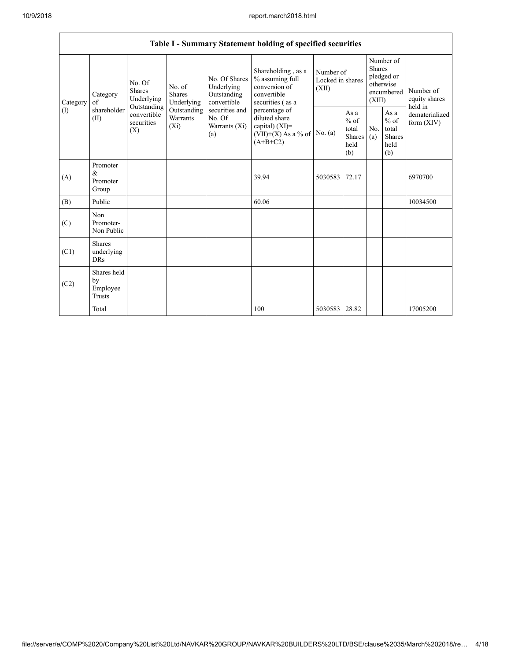|                 | Table I - Summary Statement holding of specified securities |                                                                                       |                                       |                                                           |                                                                                           |                                        |                                                  |                         |                                                         |                                           |  |  |
|-----------------|-------------------------------------------------------------|---------------------------------------------------------------------------------------|---------------------------------------|-----------------------------------------------------------|-------------------------------------------------------------------------------------------|----------------------------------------|--------------------------------------------------|-------------------------|---------------------------------------------------------|-------------------------------------------|--|--|
| Category<br>(I) | Category<br>of<br>shareholder<br>(II)                       | No. Of<br>Shares<br>Underlying                                                        | No. of<br><b>Shares</b><br>Underlying | No. Of Shares<br>Underlying<br>Outstanding<br>convertible | Shareholding, as a<br>% assuming full<br>conversion of<br>convertible<br>securities (as a | Number of<br>Locked in shares<br>(XII) |                                                  | <b>Shares</b><br>(XIII) | Number of<br>pledged or<br>otherwise<br>encumbered      | Number of<br>equity shares                |  |  |
|                 |                                                             | Outstanding<br>Outstanding<br>convertible<br>Warrants<br>securities<br>$(X_i)$<br>(X) |                                       | securities and<br>No. Of<br>Warrants (Xi)<br>(a)          | percentage of<br>diluted share<br>capital) (XI)=<br>$(VII)+(X)$ As a % of<br>$(A+B+C2)$   | No. $(a)$                              | As a<br>$%$ of<br>total<br>Shares<br>held<br>(b) | No.<br>(a)              | As a<br>$%$ of<br>total<br><b>Shares</b><br>held<br>(b) | held in<br>dematerialized<br>form $(XIV)$ |  |  |
| (A)             | Promoter<br>&<br>Promoter<br>Group                          |                                                                                       |                                       |                                                           | 39.94                                                                                     | 5030583                                | 72.17                                            |                         |                                                         | 6970700                                   |  |  |
| (B)             | Public                                                      |                                                                                       |                                       |                                                           | 60.06                                                                                     |                                        |                                                  |                         |                                                         | 10034500                                  |  |  |
| (C)             | Non<br>Promoter-<br>Non Public                              |                                                                                       |                                       |                                                           |                                                                                           |                                        |                                                  |                         |                                                         |                                           |  |  |
| (C1)            | <b>Shares</b><br>underlying<br><b>DRs</b>                   |                                                                                       |                                       |                                                           |                                                                                           |                                        |                                                  |                         |                                                         |                                           |  |  |
| (C2)            | Shares held<br>by<br>Employee<br><b>Trusts</b>              |                                                                                       |                                       |                                                           |                                                                                           |                                        |                                                  |                         |                                                         |                                           |  |  |
|                 | Total                                                       |                                                                                       |                                       |                                                           | 100                                                                                       | 5030583                                | 28.82                                            |                         |                                                         | 17005200                                  |  |  |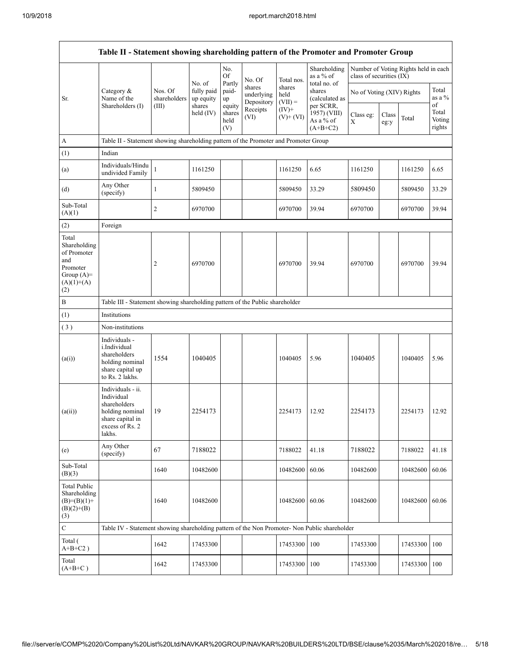|                                                                                                | Table II - Statement showing shareholding pattern of the Promoter and Promoter Group                                |                         |                         |                                                     |                                    |                                                      |                                           |                                                                  |       |                                 |                 |  |
|------------------------------------------------------------------------------------------------|---------------------------------------------------------------------------------------------------------------------|-------------------------|-------------------------|-----------------------------------------------------|------------------------------------|------------------------------------------------------|-------------------------------------------|------------------------------------------------------------------|-------|---------------------------------|-----------------|--|
|                                                                                                |                                                                                                                     |                         | No. of                  | No.<br>Of<br>Partly                                 | No. Of                             | Total nos.                                           | Shareholding<br>as a % of<br>total no. of | Number of Voting Rights held in each<br>class of securities (IX) |       |                                 |                 |  |
| Sr.                                                                                            | Category $\&$<br>Name of the                                                                                        | Nos. Of<br>shareholders | fully paid<br>up equity | paid-<br>up                                         | shares<br>underlying<br>Depository | shares<br>held<br>$(VII) =$                          | shares<br>(calculated as                  | No of Voting (XIV) Rights                                        |       |                                 | Total<br>as a % |  |
|                                                                                                | Shareholders (I)                                                                                                    | (III)                   | shares<br>held (IV)     | equity<br>Receipts<br>shares<br>(VI)<br>held<br>(V) | $(IV)$ +<br>$(V)+(VI)$             | per SCRR,<br>1957) (VIII)<br>As a % of<br>$(A+B+C2)$ | Class eg:<br>X                            | Class<br>eg:y                                                    | Total | of<br>Total<br>Voting<br>rights |                 |  |
| A                                                                                              | Table II - Statement showing shareholding pattern of the Promoter and Promoter Group                                |                         |                         |                                                     |                                    |                                                      |                                           |                                                                  |       |                                 |                 |  |
| (1)                                                                                            | Indian                                                                                                              |                         |                         |                                                     |                                    |                                                      |                                           |                                                                  |       |                                 |                 |  |
| (a)                                                                                            | Individuals/Hindu<br>undivided Family                                                                               | $\mathbf{1}$            | 1161250                 |                                                     |                                    | 1161250                                              | 6.65                                      | 1161250                                                          |       | 1161250                         | 6.65            |  |
| (d)                                                                                            | Any Other<br>(specify)                                                                                              | $\mathbf{1}$            | 5809450                 |                                                     |                                    | 5809450                                              | 33.29                                     | 5809450                                                          |       | 5809450                         | 33.29           |  |
| Sub-Total<br>(A)(1)                                                                            |                                                                                                                     | 2                       | 6970700                 |                                                     |                                    | 6970700                                              | 39.94                                     | 6970700                                                          |       | 6970700                         | 39.94           |  |
| (2)                                                                                            | Foreign                                                                                                             |                         |                         |                                                     |                                    |                                                      |                                           |                                                                  |       |                                 |                 |  |
| Total<br>Shareholding<br>of Promoter<br>and<br>Promoter<br>Group $(A)=$<br>$(A)(1)+(A)$<br>(2) |                                                                                                                     | $\overline{c}$          | 6970700                 |                                                     |                                    | 6970700                                              | 39.94                                     | 6970700                                                          |       | 6970700                         | 39.94           |  |
| $\, {\bf B}$                                                                                   | Table III - Statement showing shareholding pattern of the Public shareholder                                        |                         |                         |                                                     |                                    |                                                      |                                           |                                                                  |       |                                 |                 |  |
| (1)                                                                                            | Institutions                                                                                                        |                         |                         |                                                     |                                    |                                                      |                                           |                                                                  |       |                                 |                 |  |
| (3)                                                                                            | Non-institutions                                                                                                    |                         |                         |                                                     |                                    |                                                      |                                           |                                                                  |       |                                 |                 |  |
| (a(i))                                                                                         | Individuals -<br>i.Individual<br>shareholders<br>holding nominal<br>share capital up<br>to Rs. 2 lakhs.             | 1554                    | 1040405                 |                                                     |                                    | 1040405                                              | 5.96                                      | 1040405                                                          |       | 1040405                         | 5.96            |  |
| (a(ii))                                                                                        | Individuals - ii.<br>Individual<br>shareholders<br>holding nominal<br>share capital in<br>excess of Rs. 2<br>lakhs. | 19                      | 2254173                 |                                                     |                                    | 2254173                                              | 12.92                                     | 2254173                                                          |       | 2254173                         | 12.92           |  |
| (e)                                                                                            | Any Other<br>(specify)                                                                                              | 67                      | 7188022                 |                                                     |                                    | 7188022                                              | 41.18                                     | 7188022                                                          |       | 7188022                         | 41.18           |  |
| Sub-Total<br>(B)(3)                                                                            |                                                                                                                     | 1640                    | 10482600                |                                                     |                                    | 10482600                                             | 60.06                                     | 10482600                                                         |       | 10482600                        | 60.06           |  |
| <b>Total Public</b><br>Shareholding<br>$(B)=(B)(1)+$<br>$(B)(2)+(B)$<br>(3)                    |                                                                                                                     | 1640                    | 10482600                |                                                     |                                    | 10482600                                             | 60.06                                     | 10482600                                                         |       | 10482600 60.06                  |                 |  |
| $\mathbf C$                                                                                    | Table IV - Statement showing shareholding pattern of the Non Promoter- Non Public shareholder                       |                         |                         |                                                     |                                    |                                                      |                                           |                                                                  |       |                                 |                 |  |
| Total (<br>$A+B+C2$ )                                                                          |                                                                                                                     | 1642                    | 17453300                |                                                     |                                    | 17453300                                             | 100                                       | 17453300                                                         |       | 17453300                        | 100             |  |
| Total<br>$(A+B+C)$                                                                             |                                                                                                                     | 1642                    | 17453300                |                                                     |                                    | 17453300                                             | 100                                       | 17453300                                                         |       | 17453300 100                    |                 |  |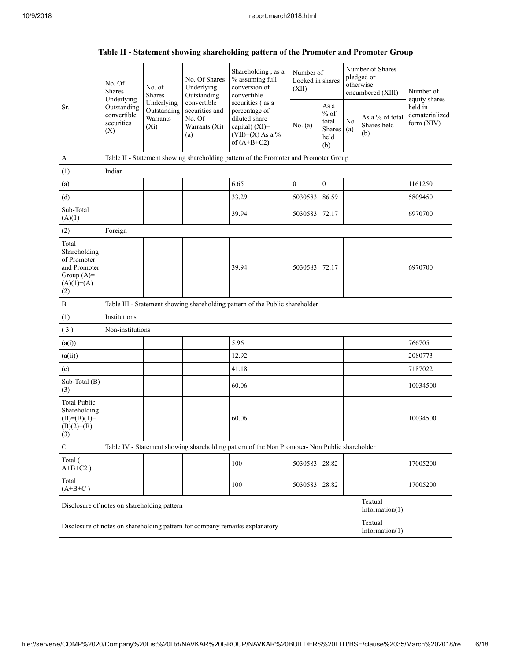| Table II - Statement showing shareholding pattern of the Promoter and Promoter Group        |                                                                                                             |                                                  |                                                                 |                                                                                                                                                                                      |                                        |                                                         |                                                                  |                                       |                                           |
|---------------------------------------------------------------------------------------------|-------------------------------------------------------------------------------------------------------------|--------------------------------------------------|-----------------------------------------------------------------|--------------------------------------------------------------------------------------------------------------------------------------------------------------------------------------|----------------------------------------|---------------------------------------------------------|------------------------------------------------------------------|---------------------------------------|-------------------------------------------|
| Sr.                                                                                         | No. Of<br><b>Shares</b><br>Underlying                                                                       | No. of<br><b>Shares</b>                          | No. Of Shares<br>Underlying<br>Outstanding                      | Shareholding, as a<br>% assuming full<br>conversion of<br>convertible<br>securities (as a<br>percentage of<br>diluted share<br>capital) (XI)=<br>$(VII)+(X)$ As a %<br>of $(A+B+C2)$ | Number of<br>Locked in shares<br>(XII) |                                                         | Number of Shares<br>pledged or<br>otherwise<br>encumbered (XIII) |                                       | Number of<br>equity shares                |
|                                                                                             | Outstanding<br>convertible<br>securities<br>(X)                                                             | Underlying<br>Outstanding<br>Warrants<br>$(X_i)$ | convertible<br>securities and<br>No. Of<br>Warrants (Xi)<br>(a) |                                                                                                                                                                                      | No. (a)                                | As a<br>$%$ of<br>total<br><b>Shares</b><br>held<br>(b) | No.<br>(a)                                                       | As a % of total<br>Shares held<br>(b) | held in<br>dematerialized<br>form $(XIV)$ |
| A                                                                                           |                                                                                                             |                                                  |                                                                 | Table II - Statement showing shareholding pattern of the Promoter and Promoter Group                                                                                                 |                                        |                                                         |                                                                  |                                       |                                           |
| (1)                                                                                         | Indian                                                                                                      |                                                  |                                                                 |                                                                                                                                                                                      |                                        |                                                         |                                                                  |                                       |                                           |
| (a)                                                                                         |                                                                                                             |                                                  |                                                                 | 6.65                                                                                                                                                                                 | $\boldsymbol{0}$                       | $\boldsymbol{0}$                                        |                                                                  |                                       | 1161250                                   |
| (d)                                                                                         |                                                                                                             |                                                  |                                                                 | 33.29                                                                                                                                                                                | 5030583                                | 86.59                                                   |                                                                  |                                       | 5809450                                   |
| Sub-Total<br>(A)(1)                                                                         |                                                                                                             |                                                  |                                                                 | 39.94                                                                                                                                                                                | 5030583                                | 72.17                                                   |                                                                  |                                       | 6970700                                   |
| (2)                                                                                         | Foreign                                                                                                     |                                                  |                                                                 |                                                                                                                                                                                      |                                        |                                                         |                                                                  |                                       |                                           |
| Total<br>Shareholding<br>of Promoter<br>and Promoter<br>Group $(A)=$<br>$(A)(1)+(A)$<br>(2) |                                                                                                             |                                                  |                                                                 | 39.94                                                                                                                                                                                | 5030583                                | 72.17                                                   |                                                                  |                                       | 6970700                                   |
| $\, {\bf B}$                                                                                |                                                                                                             |                                                  |                                                                 | Table III - Statement showing shareholding pattern of the Public shareholder                                                                                                         |                                        |                                                         |                                                                  |                                       |                                           |
| (1)                                                                                         | Institutions                                                                                                |                                                  |                                                                 |                                                                                                                                                                                      |                                        |                                                         |                                                                  |                                       |                                           |
| (3)                                                                                         | Non-institutions                                                                                            |                                                  |                                                                 |                                                                                                                                                                                      |                                        |                                                         |                                                                  |                                       |                                           |
| (a(i))                                                                                      |                                                                                                             |                                                  |                                                                 | 5.96                                                                                                                                                                                 |                                        |                                                         |                                                                  |                                       | 766705                                    |
| (a(ii))                                                                                     |                                                                                                             |                                                  |                                                                 | 12.92                                                                                                                                                                                |                                        |                                                         |                                                                  |                                       | 2080773                                   |
| (e)                                                                                         |                                                                                                             |                                                  |                                                                 | 41.18                                                                                                                                                                                |                                        |                                                         |                                                                  |                                       | 7187022                                   |
| Sub-Total (B)<br>(3)                                                                        |                                                                                                             |                                                  |                                                                 | 60.06                                                                                                                                                                                |                                        |                                                         |                                                                  |                                       | 10034500                                  |
| <b>Total Public</b><br>Shareholding<br>$(B)= (B)(1) +$<br>$(B)(2)+(B)$<br>(3)               |                                                                                                             |                                                  |                                                                 | 60.06                                                                                                                                                                                |                                        |                                                         |                                                                  |                                       | 10034500                                  |
| $\mathsf{C}$                                                                                |                                                                                                             |                                                  |                                                                 | Table IV - Statement showing shareholding pattern of the Non Promoter- Non Public shareholder                                                                                        |                                        |                                                         |                                                                  |                                       |                                           |
| Total (<br>$A+B+C2$ )                                                                       |                                                                                                             |                                                  |                                                                 | 100                                                                                                                                                                                  | 5030583                                | 28.82                                                   |                                                                  |                                       | 17005200                                  |
| Total<br>$(A+B+C)$                                                                          |                                                                                                             |                                                  |                                                                 | 100                                                                                                                                                                                  | 5030583                                | 28.82                                                   |                                                                  |                                       | 17005200                                  |
| Disclosure of notes on shareholding pattern                                                 |                                                                                                             |                                                  |                                                                 |                                                                                                                                                                                      |                                        |                                                         |                                                                  | Textual<br>Information $(1)$          |                                           |
|                                                                                             | Textual<br>Disclosure of notes on shareholding pattern for company remarks explanatory<br>Information $(1)$ |                                                  |                                                                 |                                                                                                                                                                                      |                                        |                                                         |                                                                  |                                       |                                           |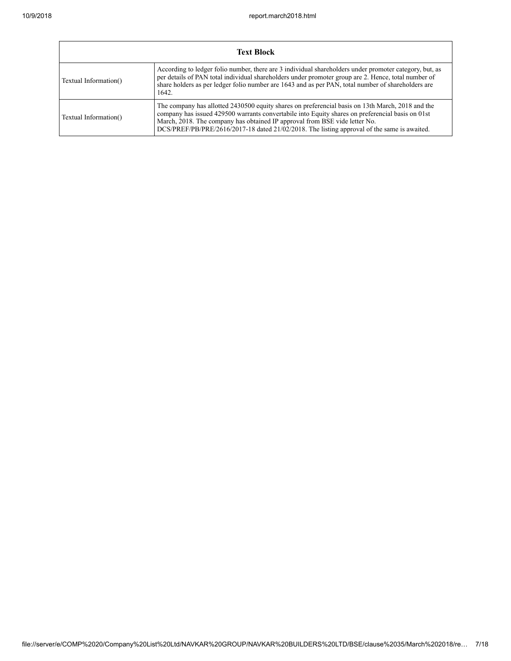| <b>Text Block</b>     |                                                                                                                                                                                                                                                                                                                                                                                   |  |  |  |  |  |  |
|-----------------------|-----------------------------------------------------------------------------------------------------------------------------------------------------------------------------------------------------------------------------------------------------------------------------------------------------------------------------------------------------------------------------------|--|--|--|--|--|--|
| Textual Information() | According to ledger folio number, there are 3 individual shareholders under promoter category, but, as<br>per details of PAN total individual shareholders under promoter group are 2. Hence, total number of<br>share holders as per ledger folio number are 1643 and as per PAN, total number of shareholders are<br>1642.                                                      |  |  |  |  |  |  |
| Textual Information() | The company has allotted 2430500 equity shares on preferencial basis on 13th March, 2018 and the<br>company has issued 429500 warrants convertabile into Equity shares on preferencial basis on 01st<br>March, 2018. The company has obtained IP approval from BSE vide letter No.<br>DCS/PREF/PB/PRE/2616/2017-18 dated 21/02/2018. The listing approval of the same is awaited. |  |  |  |  |  |  |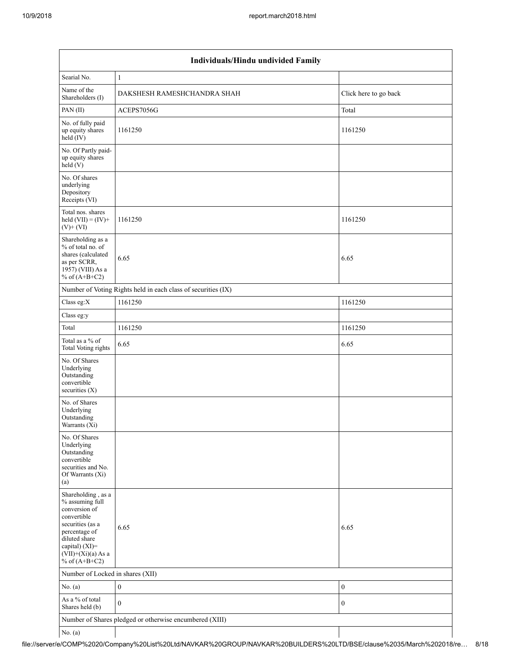|                                                                                                                                                                                          | Individuals/Hindu undivided Family                            |                       |  |  |  |  |  |  |
|------------------------------------------------------------------------------------------------------------------------------------------------------------------------------------------|---------------------------------------------------------------|-----------------------|--|--|--|--|--|--|
| Searial No.                                                                                                                                                                              | $\mathbf{1}$                                                  |                       |  |  |  |  |  |  |
| Name of the<br>Shareholders (I)                                                                                                                                                          | DAKSHESH RAMESHCHANDRA SHAH                                   | Click here to go back |  |  |  |  |  |  |
| PAN (II)                                                                                                                                                                                 | ACEPS7056G                                                    | Total                 |  |  |  |  |  |  |
| No. of fully paid<br>up equity shares<br>held (IV)                                                                                                                                       | 1161250                                                       | 1161250               |  |  |  |  |  |  |
| No. Of Partly paid-<br>up equity shares<br>held (V)                                                                                                                                      |                                                               |                       |  |  |  |  |  |  |
| No. Of shares<br>underlying<br>Depository<br>Receipts (VI)                                                                                                                               |                                                               |                       |  |  |  |  |  |  |
| Total nos. shares<br>held $(VII) = (IV) +$<br>$(V)+(VI)$                                                                                                                                 | 1161250                                                       | 1161250               |  |  |  |  |  |  |
| Shareholding as a<br>% of total no. of<br>shares (calculated<br>as per SCRR,<br>1957) (VIII) As a<br>% of $(A+B+C2)$                                                                     | 6.65                                                          | 6.65                  |  |  |  |  |  |  |
|                                                                                                                                                                                          | Number of Voting Rights held in each class of securities (IX) |                       |  |  |  |  |  |  |
| Class eg:X                                                                                                                                                                               | 1161250                                                       | 1161250               |  |  |  |  |  |  |
| Class eg:y                                                                                                                                                                               |                                                               |                       |  |  |  |  |  |  |
| Total                                                                                                                                                                                    | 1161250                                                       | 1161250               |  |  |  |  |  |  |
| Total as a % of<br>Total Voting rights                                                                                                                                                   | 6.65                                                          | 6.65                  |  |  |  |  |  |  |
| No. Of Shares<br>Underlying<br>Outstanding<br>convertible<br>securities $(X)$                                                                                                            |                                                               |                       |  |  |  |  |  |  |
| No. of Shares<br>Underlying<br>Outstanding<br>Warrants (Xi)                                                                                                                              |                                                               |                       |  |  |  |  |  |  |
| No. Of Shares<br>Underlying<br>Outstanding<br>convertible<br>securities and No.<br>Of Warrants (Xi)<br>(a)                                                                               |                                                               |                       |  |  |  |  |  |  |
| Shareholding, as a<br>% assuming full<br>conversion of<br>convertible<br>securities (as a<br>percentage of<br>diluted share<br>capital) (XI)=<br>$(VII)+(Xi)(a)$ As a<br>% of $(A+B+C2)$ | 6.65                                                          | 6.65                  |  |  |  |  |  |  |
| Number of Locked in shares (XII)                                                                                                                                                         |                                                               |                       |  |  |  |  |  |  |
| No. (a)                                                                                                                                                                                  | $\boldsymbol{0}$                                              | $\boldsymbol{0}$      |  |  |  |  |  |  |
| As a % of total<br>Shares held (b)                                                                                                                                                       | $\mathbf{0}$                                                  | $\bf{0}$              |  |  |  |  |  |  |
|                                                                                                                                                                                          | Number of Shares pledged or otherwise encumbered (XIII)       |                       |  |  |  |  |  |  |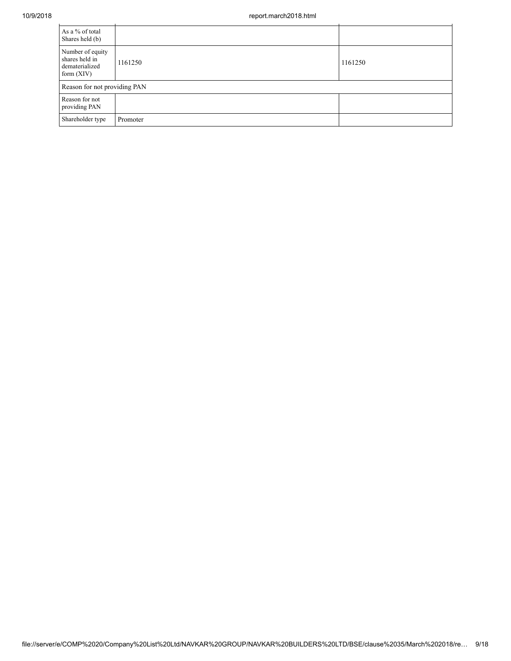| As a % of total<br>Shares held (b)                                   |          |         |
|----------------------------------------------------------------------|----------|---------|
| Number of equity<br>shares held in<br>dematerialized<br>form $(XIV)$ | 1161250  | 1161250 |
| Reason for not providing PAN                                         |          |         |
| Reason for not<br>providing PAN                                      |          |         |
| Shareholder type                                                     | Promoter |         |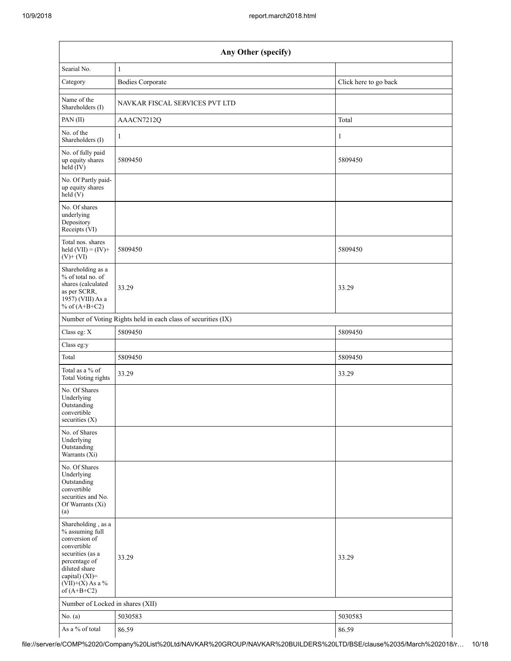|                                                                                                                                                                                      | Any Other (specify)                                           |                       |  |  |  |  |  |  |
|--------------------------------------------------------------------------------------------------------------------------------------------------------------------------------------|---------------------------------------------------------------|-----------------------|--|--|--|--|--|--|
| Searial No.                                                                                                                                                                          | 1                                                             |                       |  |  |  |  |  |  |
| Category                                                                                                                                                                             | <b>Bodies Corporate</b>                                       | Click here to go back |  |  |  |  |  |  |
| Name of the<br>Shareholders (I)                                                                                                                                                      | NAVKAR FISCAL SERVICES PVT LTD                                |                       |  |  |  |  |  |  |
| PAN(II)                                                                                                                                                                              | AAACN7212Q                                                    | Total                 |  |  |  |  |  |  |
| No. of the<br>Shareholders (I)                                                                                                                                                       | 1                                                             | $\mathbf{1}$          |  |  |  |  |  |  |
| No. of fully paid<br>up equity shares<br>$held$ (IV)                                                                                                                                 | 5809450                                                       | 5809450               |  |  |  |  |  |  |
| No. Of Partly paid-<br>up equity shares<br>$\text{held} (V)$                                                                                                                         |                                                               |                       |  |  |  |  |  |  |
| No. Of shares<br>underlying<br>Depository<br>Receipts (VI)                                                                                                                           |                                                               |                       |  |  |  |  |  |  |
| Total nos. shares<br>held $(VII) = (IV) +$<br>$(V)$ + $(VI)$                                                                                                                         | 5809450                                                       | 5809450               |  |  |  |  |  |  |
| Shareholding as a<br>% of total no. of<br>shares (calculated<br>as per SCRR,<br>1957) (VIII) As a<br>% of $(A+B+C2)$                                                                 | 33.29                                                         | 33.29                 |  |  |  |  |  |  |
|                                                                                                                                                                                      | Number of Voting Rights held in each class of securities (IX) |                       |  |  |  |  |  |  |
| Class eg: X                                                                                                                                                                          | 5809450                                                       | 5809450               |  |  |  |  |  |  |
| Class eg:y                                                                                                                                                                           |                                                               |                       |  |  |  |  |  |  |
| Total                                                                                                                                                                                | 5809450                                                       | 5809450               |  |  |  |  |  |  |
| Total as a % of<br>Total Voting rights                                                                                                                                               | 33.29                                                         | 33.29                 |  |  |  |  |  |  |
| No. Of Shares<br>Underlying<br>Outstanding<br>convertible<br>securities $(X)$                                                                                                        |                                                               |                       |  |  |  |  |  |  |
| No. of Shares<br>Underlying<br>Outstanding<br>Warrants (Xi)                                                                                                                          |                                                               |                       |  |  |  |  |  |  |
| No. Of Shares<br>Underlying<br>Outstanding<br>convertible<br>securities and No.<br>Of Warrants (Xi)<br>(a)                                                                           |                                                               |                       |  |  |  |  |  |  |
| Shareholding, as a<br>% assuming full<br>conversion of<br>convertible<br>securities (as a<br>percentage of<br>diluted share<br>capital) (XI)=<br>$(VII)+(X)$ As a %<br>of $(A+B+C2)$ | 33.29                                                         | 33.29                 |  |  |  |  |  |  |
| Number of Locked in shares (XII)                                                                                                                                                     |                                                               |                       |  |  |  |  |  |  |
| No. $(a)$                                                                                                                                                                            | 5030583                                                       | 5030583               |  |  |  |  |  |  |
| As a % of total                                                                                                                                                                      | 86.59                                                         | 86.59                 |  |  |  |  |  |  |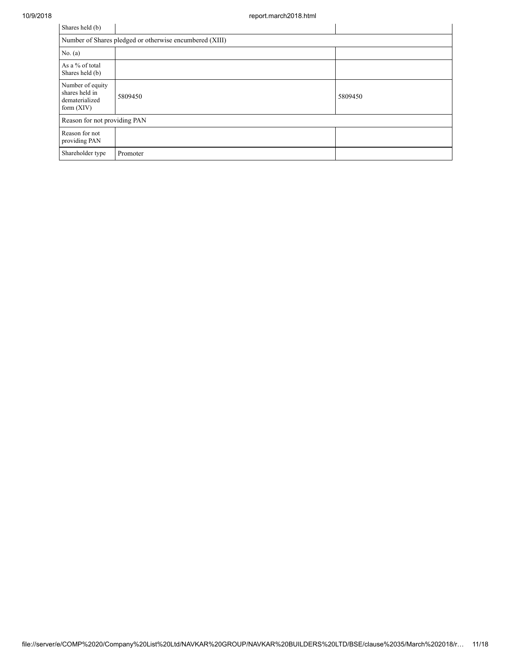| Shares held (b)                                                      |          |         |  |  |  |  |  |  |  |
|----------------------------------------------------------------------|----------|---------|--|--|--|--|--|--|--|
| Number of Shares pledged or otherwise encumbered (XIII)              |          |         |  |  |  |  |  |  |  |
| No. $(a)$                                                            |          |         |  |  |  |  |  |  |  |
| As a % of total<br>Shares held (b)                                   |          |         |  |  |  |  |  |  |  |
| Number of equity<br>shares held in<br>dematerialized<br>form $(XIV)$ | 5809450  | 5809450 |  |  |  |  |  |  |  |
| Reason for not providing PAN                                         |          |         |  |  |  |  |  |  |  |
| Reason for not<br>providing PAN                                      |          |         |  |  |  |  |  |  |  |
| Shareholder type                                                     | Promoter |         |  |  |  |  |  |  |  |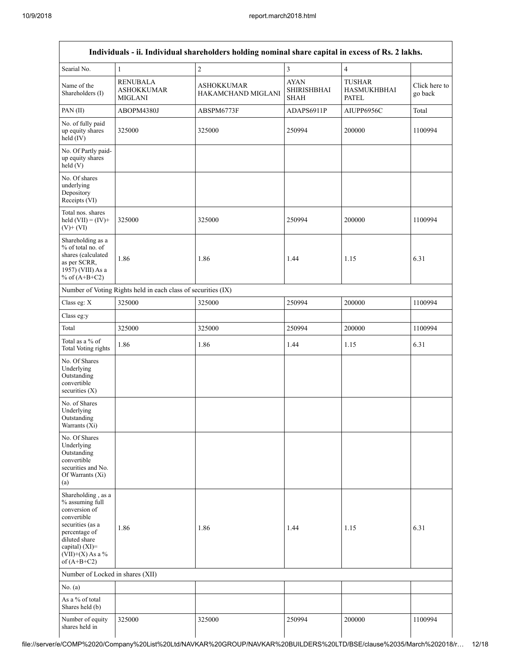| Individuals - ii. Individual shareholders holding nominal share capital in excess of Rs. 2 lakhs.                                                                                       |                                                               |                                         |                                                  |                                              |                          |  |  |  |  |  |
|-----------------------------------------------------------------------------------------------------------------------------------------------------------------------------------------|---------------------------------------------------------------|-----------------------------------------|--------------------------------------------------|----------------------------------------------|--------------------------|--|--|--|--|--|
| Searial No.                                                                                                                                                                             | $\mathbf{1}$                                                  | $\overline{c}$                          | 3                                                | $\overline{4}$                               |                          |  |  |  |  |  |
| Name of the<br>Shareholders (I)                                                                                                                                                         | <b>RENUBALA</b><br><b>ASHOKKUMAR</b><br><b>MIGLANI</b>        | <b>ASHOKKUMAR</b><br>HAKAMCHAND MIGLANI | <b>AYAN</b><br><b>SHIRISHBHAI</b><br><b>SHAH</b> | TUSHAR<br><b>HASMUKHBHAI</b><br><b>PATEL</b> | Click here to<br>go back |  |  |  |  |  |
| PAN(II)                                                                                                                                                                                 | ABOPM4380J                                                    | ABSPM6773F                              | ADAPS6911P                                       | AIUPP6956C                                   | Total                    |  |  |  |  |  |
| No. of fully paid<br>up equity shares<br>$held$ (IV)                                                                                                                                    | 325000                                                        | 325000                                  | 250994                                           | 200000                                       | 1100994                  |  |  |  |  |  |
| No. Of Partly paid-<br>up equity shares<br>held(V)                                                                                                                                      |                                                               |                                         |                                                  |                                              |                          |  |  |  |  |  |
| No. Of shares<br>underlying<br>Depository<br>Receipts (VI)                                                                                                                              |                                                               |                                         |                                                  |                                              |                          |  |  |  |  |  |
| Total nos. shares<br>held $(VII) = (IV) +$<br>$(V)$ + $(VI)$                                                                                                                            | 325000                                                        | 325000                                  | 250994                                           | 200000                                       | 1100994                  |  |  |  |  |  |
| Shareholding as a<br>% of total no. of<br>shares (calculated<br>as per SCRR,<br>1957) (VIII) As a<br>% of $(A+B+C2)$                                                                    | 1.86                                                          | 1.86                                    | 1.44                                             | 1.15                                         | 6.31                     |  |  |  |  |  |
|                                                                                                                                                                                         | Number of Voting Rights held in each class of securities (IX) |                                         |                                                  |                                              |                          |  |  |  |  |  |
| Class eg: X                                                                                                                                                                             | 325000                                                        | 325000                                  | 250994                                           | 200000                                       | 1100994                  |  |  |  |  |  |
| Class eg:y                                                                                                                                                                              |                                                               |                                         |                                                  |                                              |                          |  |  |  |  |  |
| Total                                                                                                                                                                                   | 325000                                                        | 325000                                  | 250994                                           | 200000                                       | 1100994                  |  |  |  |  |  |
| Total as a % of<br><b>Total Voting rights</b>                                                                                                                                           | 1.86                                                          | 1.86                                    | 1.44                                             | 1.15                                         | 6.31                     |  |  |  |  |  |
| No. Of Shares<br>Underlying<br>Outstanding<br>convertible<br>securities $(X)$                                                                                                           |                                                               |                                         |                                                  |                                              |                          |  |  |  |  |  |
| No. of Shares<br>Underlying<br>Outstanding<br>Warrants $(X_i)$                                                                                                                          |                                                               |                                         |                                                  |                                              |                          |  |  |  |  |  |
| No. Of Shares<br>Underlying<br>Outstanding<br>convertible<br>securities and No.<br>Of Warrants (Xi)<br>(a)                                                                              |                                                               |                                         |                                                  |                                              |                          |  |  |  |  |  |
| Shareholding, as a<br>% assuming full<br>conversion of<br>convertible<br>securities (as a<br>percentage of<br>diluted share<br>capital) $(XI)$ =<br>$(VII)+(X)$ As a %<br>of $(A+B+C2)$ | 1.86                                                          | 1.86                                    | 1.44                                             | 1.15                                         | 6.31                     |  |  |  |  |  |
| Number of Locked in shares (XII)                                                                                                                                                        |                                                               |                                         |                                                  |                                              |                          |  |  |  |  |  |
| No. $(a)$                                                                                                                                                                               |                                                               |                                         |                                                  |                                              |                          |  |  |  |  |  |
| As a % of total<br>Shares held (b)                                                                                                                                                      |                                                               |                                         |                                                  |                                              |                          |  |  |  |  |  |
| Number of equity<br>shares held in                                                                                                                                                      | 325000                                                        | 325000                                  | 250994                                           | 200000                                       | 1100994                  |  |  |  |  |  |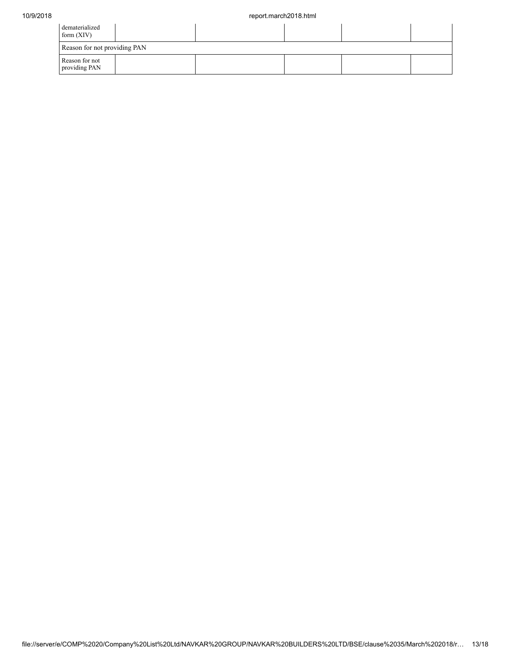| dematerialized<br>form $(XIV)$  |  |  |  |  |  |  |  |  |
|---------------------------------|--|--|--|--|--|--|--|--|
| Reason for not providing PAN    |  |  |  |  |  |  |  |  |
| Reason for not<br>providing PAN |  |  |  |  |  |  |  |  |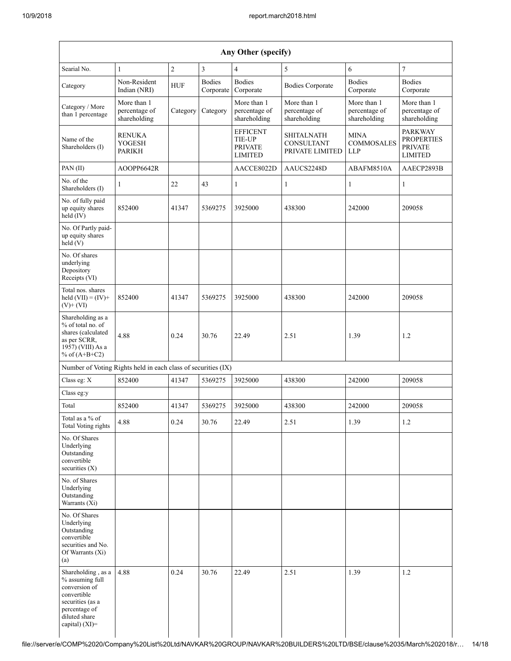| Any Other (specify)                                                                                                                           |                                              |                |                            |                                                                      |                                                           |                                                |                                                                         |
|-----------------------------------------------------------------------------------------------------------------------------------------------|----------------------------------------------|----------------|----------------------------|----------------------------------------------------------------------|-----------------------------------------------------------|------------------------------------------------|-------------------------------------------------------------------------|
| Searial No.                                                                                                                                   | $\mathbf{1}$                                 | $\overline{c}$ | $\mathfrak{Z}$             | $\overline{4}$                                                       | 5                                                         | 6                                              | $\overline{7}$                                                          |
| Category                                                                                                                                      | Non-Resident<br>Indian (NRI)                 | <b>HUF</b>     | <b>Bodies</b><br>Corporate | <b>Bodies</b><br>Corporate                                           | <b>Bodies Corporate</b>                                   | <b>Bodies</b><br>Corporate                     | <b>Bodies</b><br>Corporate                                              |
| Category / More<br>than 1 percentage                                                                                                          | More than 1<br>percentage of<br>shareholding | Category       | Category                   | More than 1<br>percentage of<br>shareholding                         | More than 1<br>percentage of<br>shareholding              | More than 1<br>percentage of<br>shareholding   | More than 1<br>percentage of<br>shareholding                            |
| Name of the<br>Shareholders (I)                                                                                                               | <b>RENUKA</b><br><b>YOGESH</b><br>PARIKH     |                |                            | <b>EFFICENT</b><br><b>TIE-UP</b><br><b>PRIVATE</b><br><b>LIMITED</b> | <b>SHITALNATH</b><br><b>CONSULTANT</b><br>PRIVATE LIMITED | <b>MINA</b><br><b>COMMOSALES</b><br><b>LLP</b> | <b>PARKWAY</b><br><b>PROPERTIES</b><br><b>PRIVATE</b><br><b>LIMITED</b> |
| PAN(II)                                                                                                                                       | AOOPP6642R                                   |                |                            | AACCE8022D                                                           | AAUCS2248D                                                | ABAFM8510A                                     | AAECP2893B                                                              |
| No. of the<br>Shareholders (I)                                                                                                                | 1                                            | 22             | 43                         | $\mathbf{1}$                                                         | $\mathbf{1}$                                              | 1                                              | $\mathbf{1}$                                                            |
| No. of fully paid<br>up equity shares<br>held $(IV)$                                                                                          | 852400                                       | 41347          | 5369275                    | 3925000                                                              | 438300                                                    | 242000                                         | 209058                                                                  |
| No. Of Partly paid-<br>up equity shares<br>$\text{held}(V)$                                                                                   |                                              |                |                            |                                                                      |                                                           |                                                |                                                                         |
| No. Of shares<br>underlying<br>Depository<br>Receipts (VI)                                                                                    |                                              |                |                            |                                                                      |                                                           |                                                |                                                                         |
| Total nos. shares<br>held $(VII) = (IV) +$<br>$(V)$ + $(VI)$                                                                                  | 852400                                       | 41347          | 5369275                    | 3925000                                                              | 438300                                                    | 242000                                         | 209058                                                                  |
| Shareholding as a<br>% of total no. of<br>shares (calculated<br>as per SCRR,<br>1957) (VIII) As a<br>% of $(A+B+C2)$                          | 4.88                                         | 0.24           | 30.76                      | 22.49                                                                | 2.51                                                      | 1.39                                           | 1.2                                                                     |
| Number of Voting Rights held in each class of securities (IX)                                                                                 |                                              |                |                            |                                                                      |                                                           |                                                |                                                                         |
| Class eg: X                                                                                                                                   | 852400                                       | 41347          | 5369275                    | 3925000                                                              | 438300                                                    | 242000                                         | 209058                                                                  |
| Class eg:y                                                                                                                                    |                                              |                |                            |                                                                      |                                                           |                                                |                                                                         |
| Total                                                                                                                                         | 852400                                       | 41347          | 5369275                    | 3925000                                                              | 438300                                                    | 242000                                         | 209058                                                                  |
| Total as a $\%$ of<br><b>Total Voting rights</b>                                                                                              | 4.88                                         | 0.24           | 30.76                      | 22.49                                                                | 2.51                                                      | 1.39                                           | 1.2                                                                     |
| No. Of Shares<br>Underlying<br>Outstanding<br>convertible<br>securities $(X)$                                                                 |                                              |                |                            |                                                                      |                                                           |                                                |                                                                         |
| No. of Shares<br>Underlying<br>Outstanding<br>Warrants (Xi)                                                                                   |                                              |                |                            |                                                                      |                                                           |                                                |                                                                         |
| No. Of Shares<br>Underlying<br>Outstanding<br>convertible<br>securities and No.<br>Of Warrants (Xi)<br>(a)                                    |                                              |                |                            |                                                                      |                                                           |                                                |                                                                         |
| Shareholding, as a<br>% assuming full<br>conversion of<br>convertible<br>securities (as a<br>percentage of<br>diluted share<br>capital) (XI)= | 4.88                                         | 0.24           | 30.76                      | 22.49                                                                | 2.51                                                      | 1.39                                           | 1.2                                                                     |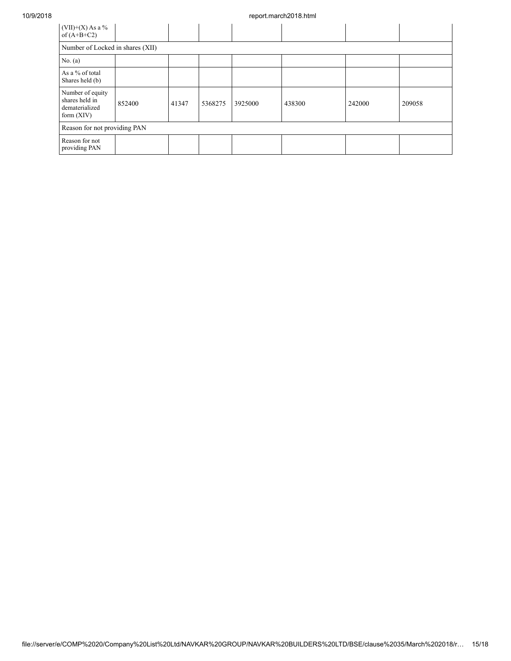| $(VII)+(X)$ As a %<br>of $(A+B+C2)$                                  |                                  |       |         |         |        |        |        |  |
|----------------------------------------------------------------------|----------------------------------|-------|---------|---------|--------|--------|--------|--|
|                                                                      | Number of Locked in shares (XII) |       |         |         |        |        |        |  |
| No. $(a)$                                                            |                                  |       |         |         |        |        |        |  |
| As a % of total<br>Shares held (b)                                   |                                  |       |         |         |        |        |        |  |
| Number of equity<br>shares held in<br>dematerialized<br>form $(XIV)$ | 852400                           | 41347 | 5368275 | 3925000 | 438300 | 242000 | 209058 |  |
| Reason for not providing PAN                                         |                                  |       |         |         |        |        |        |  |
| Reason for not<br>providing PAN                                      |                                  |       |         |         |        |        |        |  |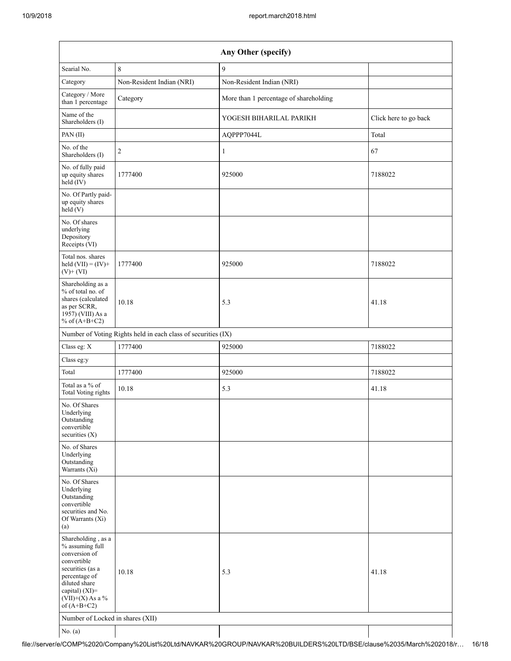| Any Other (specify)                                                                                                                                                                                                      |                                                               |                                        |                       |  |  |  |  |
|--------------------------------------------------------------------------------------------------------------------------------------------------------------------------------------------------------------------------|---------------------------------------------------------------|----------------------------------------|-----------------------|--|--|--|--|
| Searial No.                                                                                                                                                                                                              | $\,$ 8 $\,$                                                   | 9                                      |                       |  |  |  |  |
| Category                                                                                                                                                                                                                 | Non-Resident Indian (NRI)                                     | Non-Resident Indian (NRI)              |                       |  |  |  |  |
| Category / More<br>than 1 percentage                                                                                                                                                                                     | Category                                                      | More than 1 percentage of shareholding |                       |  |  |  |  |
| Name of the<br>Shareholders (I)                                                                                                                                                                                          |                                                               | YOGESH BIHARILAL PARIKH                | Click here to go back |  |  |  |  |
| PAN(II)                                                                                                                                                                                                                  |                                                               | AQPPP7044L                             | Total                 |  |  |  |  |
| No. of the<br>Shareholders (I)                                                                                                                                                                                           | $\overline{2}$                                                | $\mathbf{1}$                           | 67                    |  |  |  |  |
| No. of fully paid<br>up equity shares<br>$held$ (IV)                                                                                                                                                                     | 1777400                                                       | 925000                                 | 7188022               |  |  |  |  |
| No. Of Partly paid-<br>up equity shares<br>held(V)                                                                                                                                                                       |                                                               |                                        |                       |  |  |  |  |
| No. Of shares<br>underlying<br>Depository<br>Receipts (VI)                                                                                                                                                               |                                                               |                                        |                       |  |  |  |  |
| Total nos. shares<br>held $(VII) = (IV) +$<br>$(V)$ + $(VI)$                                                                                                                                                             | 1777400                                                       | 925000                                 | 7188022               |  |  |  |  |
| Shareholding as a<br>% of total no. of<br>shares (calculated<br>as per SCRR,<br>1957) (VIII) As a<br>% of $(A+B+C2)$                                                                                                     | 10.18                                                         | 5.3                                    | 41.18                 |  |  |  |  |
|                                                                                                                                                                                                                          | Number of Voting Rights held in each class of securities (IX) |                                        |                       |  |  |  |  |
| Class eg: X                                                                                                                                                                                                              | 1777400                                                       | 925000                                 | 7188022               |  |  |  |  |
| Class eg:y                                                                                                                                                                                                               |                                                               |                                        |                       |  |  |  |  |
| Total                                                                                                                                                                                                                    | 1777400                                                       | 925000                                 | 7188022               |  |  |  |  |
| Total as a % of<br>Total Voting rights                                                                                                                                                                                   | 10.18                                                         | 5.3                                    | 41.18                 |  |  |  |  |
| No. Of Shares<br>Underlying<br>Outstanding<br>convertible<br>securities $(X)$                                                                                                                                            |                                                               |                                        |                       |  |  |  |  |
| No. of Shares<br>Underlying<br>Outstanding<br>Warrants (Xi)                                                                                                                                                              |                                                               |                                        |                       |  |  |  |  |
| No. Of Shares<br>Underlying<br>Outstanding<br>convertible<br>securities and No.<br>Of Warrants (Xi)<br>(a)                                                                                                               |                                                               |                                        |                       |  |  |  |  |
| Shareholding, as a<br>% assuming full<br>conversion of<br>convertible<br>securities (as a<br>percentage of<br>diluted share<br>capital) (XI)=<br>$(VII)+(X)$ As a %<br>of $(A+B+C2)$<br>Number of Locked in shares (XII) | 10.18                                                         | 5.3                                    | 41.18                 |  |  |  |  |
|                                                                                                                                                                                                                          |                                                               |                                        |                       |  |  |  |  |